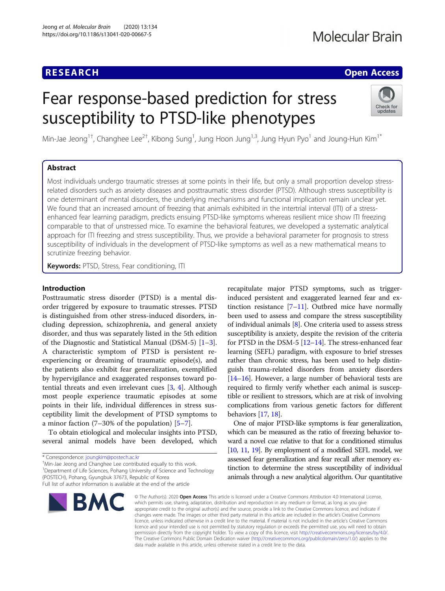# **RESEARCH CHE Open Access**

# Fear response-based prediction for stress susceptibility to PTSD-like phenotypes



Min-Jae Jeong<sup>1†</sup>, Changhee Lee<sup>2†</sup>, Kibong Sung<sup>1</sup>, Jung Hoon Jung<sup>1,3</sup>, Jung Hyun Pyo<sup>1</sup> and Joung-Hun Kim<sup>1\*</sup>

# Abstract

Most individuals undergo traumatic stresses at some points in their life, but only a small proportion develop stressrelated disorders such as anxiety diseases and posttraumatic stress disorder (PTSD). Although stress susceptibility is one determinant of mental disorders, the underlying mechanisms and functional implication remain unclear yet. We found that an increased amount of freezing that animals exhibited in the intertrial interval (ITI) of a stressenhanced fear learning paradigm, predicts ensuing PTSD-like symptoms whereas resilient mice show ITI freezing comparable to that of unstressed mice. To examine the behavioral features, we developed a systematic analytical approach for ITI freezing and stress susceptibility. Thus, we provide a behavioral parameter for prognosis to stress susceptibility of individuals in the development of PTSD-like symptoms as well as a new mathematical means to scrutinize freezing behavior.

Keywords: PTSD, Stress, Fear conditioning, ITI

# Introduction

Posttraumatic stress disorder (PTSD) is a mental disorder triggered by exposure to traumatic stresses. PTSD is distinguished from other stress-induced disorders, including depression, schizophrenia, and general anxiety disorder, and thus was separately listed in the 5th edition of the Diagnostic and Statistical Manual (DSM-5) [\[1](#page-7-0)–[3](#page-7-0)]. A characteristic symptom of PTSD is persistent reexperiencing or dreaming of traumatic episode(s), and the patients also exhibit fear generalization, exemplified by hypervigilance and exaggerated responses toward potential threats and even irrelevant cues [\[3,](#page-7-0) [4\]](#page-7-0). Although most people experience traumatic episodes at some points in their life, individual differences in stress susceptibility limit the development of PTSD symptoms to a minor faction (7–30% of the population) [\[5](#page-7-0)–[7](#page-7-0)].

To obtain etiological and molecular insights into PTSD, several animal models have been developed, which

Min-Jae Jeong and Changhee Lee contributed equally to this work.

<sup>1</sup>Department of Life Sciences, Pohang University of Science and Technology (POSTECH), Pohang, Gyungbuk 37673, Republic of Korea

Full list of author information is available at the end of the article



recapitulate major PTSD symptoms, such as triggerinduced persistent and exaggerated learned fear and extinction resistance  $[7-11]$  $[7-11]$  $[7-11]$ . Outbred mice have normally been used to assess and compare the stress susceptibility of individual animals [\[8](#page-7-0)]. One criteria used to assess stress susceptibility is anxiety, despite the revision of the criteria for PTSD in the DSM-5 [[12](#page-7-0)–[14\]](#page-7-0). The stress-enhanced fear learning (SEFL) paradigm, with exposure to brief stresses rather than chronic stress, has been used to help distinguish trauma-related disorders from anxiety disorders [[14](#page-7-0)–[16\]](#page-7-0). However, a large number of behavioral tests are required to firmly verify whether each animal is susceptible or resilient to stressors, which are at risk of involving complications from various genetic factors for different behaviors [\[17](#page-7-0), [18](#page-7-0)].

One of major PTSD-like symptoms is fear generalization, which can be measured as the ratio of freezing behavior toward a novel cue relative to that for a conditioned stimulus [[10,](#page-7-0) [11](#page-7-0), [19\]](#page-7-0). By employment of a modified SEFL model, we assessed fear generalization and fear recall after memory extinction to determine the stress susceptibility of individual animals through a new analytical algorithm. Our quantitative

© The Author(s), 2020 **Open Access** This article is licensed under a Creative Commons Attribution 4.0 International License, which permits use, sharing, adaptation, distribution and reproduction in any medium or format, as long as you give appropriate credit to the original author(s) and the source, provide a link to the Creative Commons licence, and indicate if changes were made. The images or other third party material in this article are included in the article's Creative Commons licence, unless indicated otherwise in a credit line to the material. If material is not included in the article's Creative Commons licence and your intended use is not permitted by statutory regulation or exceeds the permitted use, you will need to obtain permission directly from the copyright holder. To view a copy of this licence, visit [http://creativecommons.org/licenses/by/4.0/.](http://creativecommons.org/licenses/by/4.0/) The Creative Commons Public Domain Dedication waiver [\(http://creativecommons.org/publicdomain/zero/1.0/](http://creativecommons.org/publicdomain/zero/1.0/)) applies to the data made available in this article, unless otherwise stated in a credit line to the data.

<sup>\*</sup> Correspondence: [joungkim@postech.ac.kr](mailto:joungkim@postech.ac.kr) †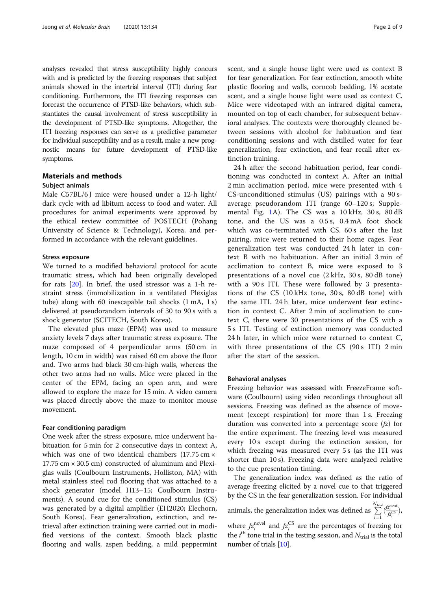analyses revealed that stress susceptibility highly concurs with and is predicted by the freezing responses that subject animals showed in the intertrial interval (ITI) during fear conditioning. Furthermore, the ITI freezing responses can forecast the occurrence of PTSD-like behaviors, which substantiates the causal involvement of stress susceptibility in the development of PTSD-like symptoms. Altogether, the ITI freezing responses can serve as a predictive parameter for individual susceptibility and as a result, make a new prognostic means for future development of PTSD-like symptoms.

# Materials and methods

# Subject animals

Male C57BL/6 J mice were housed under a 12-h light/ dark cycle with ad libitum access to food and water. All procedures for animal experiments were approved by the ethical review committee of POSTECH (Pohang University of Science & Technology), Korea, and performed in accordance with the relevant guidelines.

# Stress exposure

We turned to a modified behavioral protocol for acute traumatic stress, which had been originally developed for rats [[20\]](#page-7-0). In brief, the used stressor was a 1-h restraint stress (immobilization in a ventilated Plexiglas tube) along with 60 inescapable tail shocks (1 mA, 1 s) delivered at pseudorandom intervals of 30 to 90 s with a shock generator (SCITECH, South Korea).

The elevated plus maze (EPM) was used to measure anxiety levels 7 days after traumatic stress exposure. The maze composed of 4 perpendicular arms (50 cm in length, 10 cm in width) was raised 60 cm above the floor and. Two arms had black 30 cm-high walls, whereas the other two arms had no walls. Mice were placed in the center of the EPM, facing an open arm, and were allowed to explore the maze for 15 min. A video camera was placed directly above the maze to monitor mouse movement.

# Fear conditioning paradigm

One week after the stress exposure, mice underwent habituation for 5 min for 2 consecutive days in context A, which was one of two identical chambers  $(17.75 \text{ cm} \times$ 17.75 cm  $\times$  30.5 cm) constructed of aluminum and Plexiglas walls (Coulbourn Instruments, Holliston, MA) with metal stainless steel rod flooring that was attached to a shock generator (model H13–15; Coulbourn Instruments). A sound cue for the conditioned stimulus (CS) was generated by a digital amplifier (EH2020; Elechorn, South Korea). Fear generalization, extinction, and retrieval after extinction training were carried out in modified versions of the context. Smooth black plastic flooring and walls, aspen bedding, a mild peppermint scent, and a single house light were used as context B for fear generalization. For fear extinction, smooth white plastic flooring and walls, corncob bedding, 1% acetate scent, and a single house light were used as context C. Mice were videotaped with an infrared digital camera, mounted on top of each chamber, for subsequent behavioral analyses. The contexts were thoroughly cleaned between sessions with alcohol for habituation and fear conditioning sessions and with distilled water for fear generalization, fear extinction, and fear recall after extinction training.

24 h after the second habituation period, fear conditioning was conducted in context A. After an initial 2 min acclimation period, mice were presented with 4 CS-unconditioned stimulus (US) pairings with a 90 saverage pseudorandom ITI (range 60–120 s; Supplemental Fig. [1A](#page-6-0)). The CS was a 10 kHz, 30 s, 80 dB tone, and the US was a 0.5 s, 0.4 mA foot shock which was co-terminated with CS. 60 s after the last pairing, mice were returned to their home cages. Fear generalization test was conducted 24 h later in context B with no habituation. After an initial 3 min of acclimation to context B, mice were exposed to 3 presentations of a novel cue (2 kHz, 30 s, 80 dB tone) with a 90 s ITI. These were followed by 3 presentations of the CS (10 kHz tone, 30 s, 80 dB tone) with the same ITI. 24 h later, mice underwent fear extinction in context C. After 2 min of acclimation to context C, there were 30 presentations of the CS with a 5 s ITI. Testing of extinction memory was conducted 24 h later, in which mice were returned to context C, with three presentations of the CS (90 s ITI) 2 min after the start of the session.

# Behavioral analyses

Freezing behavior was assessed with FreezeFrame software (Coulbourn) using video recordings throughout all sessions. Freezing was defined as the absence of movement (except respiration) for more than 1 s. Freezing duration was converted into a percentage score  $(fz)$  for the entire experiment. The freezing level was measured every 10 s except during the extinction session, for which freezing was measured every 5 s (as the ITI was shorter than 10 s). Freezing data were analyzed relative to the cue presentation timing.

The generalization index was defined as the ratio of average freezing elicited by a novel cue to that triggered by the CS in the fear generalization session. For individual animals, the generalization index was defined as  $\sum_{i=1}^{N_{\text{trial}}} \left(\frac{fZ_i^{\text{novel}}}{fZ_i^{\text{CS}}}\right)$  $\frac{i=1}{1}$ where  $f_{z_i}^{\text{novel}}$  and  $f_{z_i}^{\text{CS}}$  are the percentages of freezing for the  $i^{\text{th}}$  tone trial in the testing session, and  $N_{\text{trial}}$  is the total

number of trials [[10](#page-7-0)].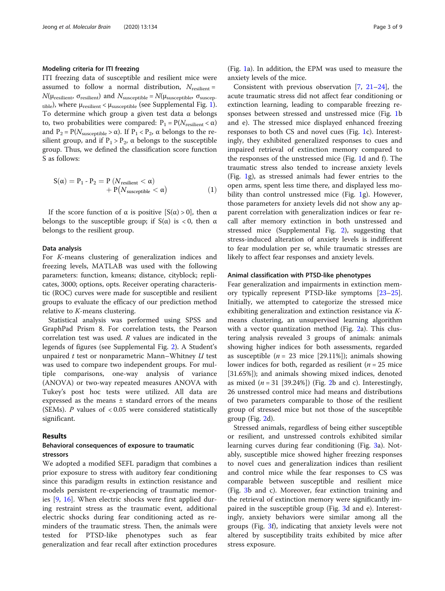# Modeling criteria for ITI freezing

ITI freezing data of susceptible and resilient mice were assumed to follow a normal distribution,  $N_{\text{resilient}} =$  $N(\mu_{\text{resilient}}, \sigma_{\text{resilient}})$  and  $N_{\text{susceptible}} = N(\mu_{\text{susceptible}}, \sigma_{\text{suscept}})$ tible), where  $\mu_{resilient} < \mu_{susceptible}$  (see Supplemental Fig. [1](#page-6-0)). To determine which group a given test data α belongs to, two probabilities were compared:  $P_1 = P(N_{\text{resilient}} < \alpha)$ and  $P_2 = P(N_{\text{susceptible}} > \alpha)$ . If  $P_1 < P_2$ ,  $\alpha$  belongs to the resilient group, and if  $P_1 > P_2$ ,  $\alpha$  belongs to the susceptible group. Thus, we defined the classification score function S as follows:

$$
S(\alpha) = P_1 - P_2 = P (N_{resilient} < \alpha) + P(N_{susceptible} < \alpha)
$$
 (1)

If the score function of α is positive  $[S(α) > 0]$ , then α belongs to the susceptible group; if  $S(\alpha)$  is < 0, then  $\alpha$ belongs to the resilient group.

# Data analysis

For K-means clustering of generalization indices and freezing levels, MATLAB was used with the following parameters: function, kmeans; distance, cityblock; replicates, 3000; options, opts. Receiver operating characteristic (ROC) curves were made for susceptible and resilient groups to evaluate the efficacy of our prediction method relative to K-means clustering.

Statistical analysis was performed using SPSS and GraphPad Prism 8. For correlation tests, the Pearson correlation test was used. R values are indicated in the legends of figures (see Supplemental Fig. [2](#page-7-0)). A Student's unpaired  $t$  test or nonparametric Mann–Whitney  $U$  test was used to compare two independent groups. For multiple comparisons, one-way analysis of variance (ANOVA) or two-way repeated measures ANOVA with Tukey's post hoc tests were utilized. All data are expressed as the means ± standard errors of the means (SEMs).  $P$  values of  $< 0.05$  were considered statistically significant.

# Results

# Behavioral consequences of exposure to traumatic stressors

We adopted a modified SEFL paradigm that combines a prior exposure to stress with auditory fear conditioning since this paradigm results in extinction resistance and models persistent re-experiencing of traumatic memories [\[9](#page-7-0), [16\]](#page-7-0). When electric shocks were first applied during restraint stress as the traumatic event, additional electric shocks during fear conditioning acted as reminders of the traumatic stress. Then, the animals were tested for PTSD-like phenotypes such as fear generalization and fear recall after extinction procedures

(Fig. [1a](#page-3-0)). In addition, the EPM was used to measure the anxiety levels of the mice.

Consistent with previous observation [\[7](#page-7-0), [21](#page-7-0)–[24\]](#page-8-0), the acute traumatic stress did not affect fear conditioning or extinction learning, leading to comparable freezing responses between stressed and unstressed mice (Fig. [1](#page-3-0)b and e). The stressed mice displayed enhanced freezing responses to both CS and novel cues (Fig. [1](#page-3-0)c). Interestingly, they exhibited generalized responses to cues and impaired retrieval of extinction memory compared to the responses of the unstressed mice (Fig. [1d](#page-3-0) and f). The traumatic stress also tended to increase anxiety levels (Fig. [1](#page-3-0)g), as stressed animals had fewer entries to the open arms, spent less time there, and displayed less mobility than control unstressed mice (Fig. [1](#page-3-0)g). However, those parameters for anxiety levels did not show any apparent correlation with generalization indices or fear recall after memory extinction in both unstressed and stressed mice (Supplemental Fig. [2](#page-7-0)), suggesting that stress-induced alteration of anxiety levels is indifferent to fear modulation per se, while traumatic stresses are likely to affect fear responses and anxiety levels.

# Animal classification with PTSD-like phenotypes

Fear generalization and impairments in extinction memory typically represent PTSD-like symptoms [[23](#page-7-0)–[25](#page-8-0)]. Initially, we attempted to categorize the stressed mice exhibiting generalization and extinction resistance via Kmeans clustering, an unsupervised learning algorithm with a vector quantization method (Fig. [2a](#page-4-0)). This clustering analysis revealed 3 groups of animals: animals showing higher indices for both assessments, regarded as susceptible ( $n = 23$  mice [29.11%]); animals showing lower indices for both, regarded as resilient ( $n = 25$  mice [31.65%]); and animals showing mixed indices, denoted as mixed  $(n = 31 [39.24\%])$  (Fig. [2b](#page-4-0) and c). Interestingly, 26 unstressed control mice had means and distributions of two parameters comparable to those of the resilient group of stressed mice but not those of the susceptible group (Fig. [2](#page-4-0)d).

Stressed animals, regardless of being either susceptible or resilient, and unstressed controls exhibited similar learning curves during fear conditioning (Fig. [3](#page-5-0)a). Notably, susceptible mice showed higher freezing responses to novel cues and generalization indices than resilient and control mice while the fear responses to CS was comparable between susceptible and resilient mice (Fig. [3b](#page-5-0) and c). Moreover, fear extinction training and the retrieval of extinction memory were significantly impaired in the susceptible group (Fig. [3](#page-5-0)d and e). Interestingly, anxiety behaviors were similar among all the groups (Fig. [3f](#page-5-0)), indicating that anxiety levels were not altered by susceptibility traits exhibited by mice after stress exposure.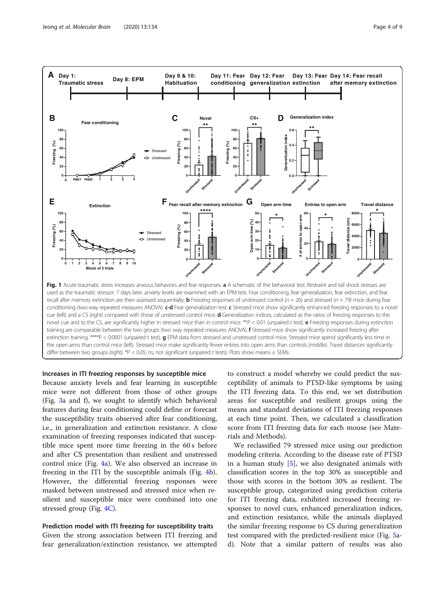<span id="page-3-0"></span>

# Increases in ITI freezing responses by susceptible mice

Because anxiety levels and fear learning in susceptible mice were not different from those of other groups (Fig. [3a](#page-5-0) and f), we sought to identify which behavioral features during fear conditioning could define or forecast the susceptibility traits observed after fear conditioning, i.e., in generalization and extinction resistance. A close examination of freezing responses indicated that susceptible mice spent more time freezing in the 60 s before and after CS presentation than resilient and unstressed control mice (Fig. [4](#page-5-0)a). We also observed an increase in freezing in the ITI by the susceptible animals (Fig. [4](#page-5-0)b). However, the differential freezing responses were masked between unstressed and stressed mice when resilient and susceptible mice were combined into one stressed group (Fig. [4C](#page-5-0)).

# Prediction model with ITI freezing for susceptibility traits

Given the strong association between ITI freezing and fear generalization/extinction resistance, we attempted to construct a model whereby we could predict the susceptibility of animals to PTSD-like symptoms by using the ITI freezing data. To this end, we set distribution areas for susceptible and resilient groups using the means and standard deviations of ITI freezing responses at each time point. Then, we calculated a classification score from ITI freezing data for each mouse (see Materials and Methods).

We reclassified 79 stressed mice using our prediction modeling criteria. According to the disease rate of PTSD in a human study [[5\]](#page-7-0), we also designated animals with classification scores in the top 30% as susceptible and those with scores in the bottom 30% as resilient. The susceptible group, categorized using prediction criteria for ITI freezing data, exhibited increased freezing responses to novel cues, enhanced generalization indices, and extinction resistance, while the animals displayed the similar freezing response to CS during generalization test compared with the predicted-resilient mice (Fig. [5a](#page-6-0)d). Note that a similar pattern of results was also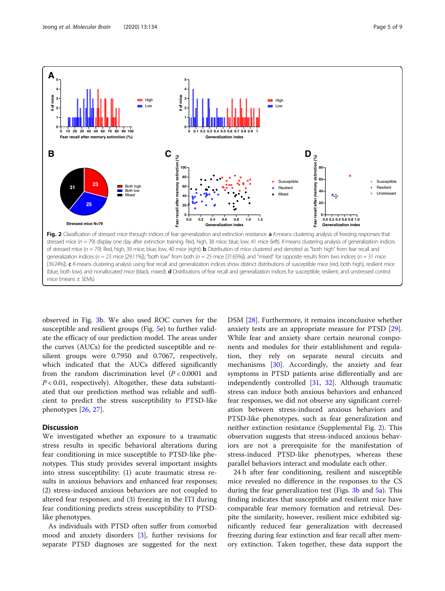<span id="page-4-0"></span>

mice (means  $\pm$  SEMs)

observed in Fig. [3](#page-5-0)b. We also used ROC curves for the susceptible and resilient groups (Fig. [5](#page-6-0)e) to further validate the efficacy of our prediction model. The areas under the curves (AUCs) for the predicted susceptible and resilient groups were 0.7950 and 0.7067, respectively, which indicated that the AUCs differed significantly from the random discrimination level  $(P < 0.0001$  and  $P < 0.01$ , respectively). Altogether, these data substantiated that our prediction method was reliable and sufficient to predict the stress susceptibility to PTSD-like phenotypes [\[26](#page-8-0), [27\]](#page-8-0).

# **Discussion**

We investigated whether an exposure to a traumatic stress results in specific behavioral alterations during fear conditioning in mice susceptible to PTSD-like phenotypes. This study provides several important insights into stress susceptibility: (1) acute traumatic stress results in anxious behaviors and enhanced fear responses; (2) stress-induced anxious behaviors are not coupled to altered fear responses; and (3) freezing in the ITI during fear conditioning predicts stress susceptibility to PTSDlike phenotypes.

As individuals with PTSD often suffer from comorbid mood and anxiety disorders [[3](#page-7-0)], further revisions for separate PTSD diagnoses are suggested for the next DSM [\[28](#page-8-0)]. Furthermore, it remains inconclusive whether anxiety tests are an appropriate measure for PTSD [\[29](#page-8-0)]. While fear and anxiety share certain neuronal components and modules for their establishment and regulation, they rely on separate neural circuits and mechanisms [\[30\]](#page-8-0). Accordingly, the anxiety and fear symptoms in PTSD patients arise differentially and are independently controlled [[31,](#page-8-0) [32\]](#page-8-0). Although traumatic stress can induce both anxious behaviors and enhanced fear responses, we did not observe any significant correlation between stress-induced anxious behaviors and PTSD-like phenotypes, such as fear generalization and neither extinction resistance (Supplemental Fig. [2](#page-7-0)). This observation suggests that stress-induced anxious behaviors are not a prerequisite for the manifestation of stress-induced PTSD-like phenotypes, whereas these parallel behaviors interact and modulate each other.

24 h after fear conditioning, resilient and susceptible mice revealed no difference in the responses to the CS during the fear generalization test (Figs. [3b](#page-5-0) and [5a\)](#page-6-0). This finding indicates that susceptible and resilient mice have comparable fear memory formation and retrieval. Despite the similarity, however, resilient mice exhibited significantly reduced fear generalization with decreased freezing during fear extinction and fear recall after memory extinction. Taken together, these data support the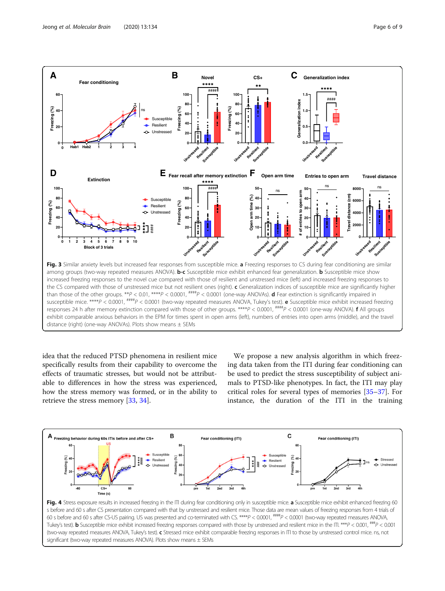<span id="page-5-0"></span>

idea that the reduced PTSD phenomena in resilient mice specifically results from their capability to overcome the effects of traumatic stresses, but would not be attributable to differences in how the stress was experienced, how the stress memory was formed, or in the ability to retrieve the stress memory [[33,](#page-8-0) [34\]](#page-8-0).

We propose a new analysis algorithm in which freezing data taken from the ITI during fear conditioning can be used to predict the stress susceptibility of subject animals to PTSD-like phenotypes. In fact, the ITI may play critical roles for several types of memories [\[35](#page-8-0)–[37\]](#page-8-0). For instance, the duration of the ITI in the training



Fig. 4 Stress exposure results in increased freezing in the ITI during fear conditioning only in susceptible mice. a Susceptible mice exhibit enhanced freezing 60 s before and 60 s after CS presentation compared with that by unstressed and resilient mice. Those data are mean values of freezing responses from 4 trials of 60 s before and 60 s after CS-US pairing. US was presented and co-terminated with CS. \*\*\*\*P < 0.0001,  $\frac{\text{mmup}}{F}$  / 0.0001, (two-way repeated measures ANOVA, Tukey's test). **b** Susceptible mice exhibit increased freezing responses compared with those by unstressed and resilient mice in the ITI. \*\*\*P < 0.001,  $^{\# \# P}$  < 0.001 (two-way repeated measures ANOVA, Tukey's test). c Stressed mice exhibit comparable freezing responses in ITI to those by unstressed control mice. ns, not significant (two-way repeated measures ANOVA). Plots show means ± SEMs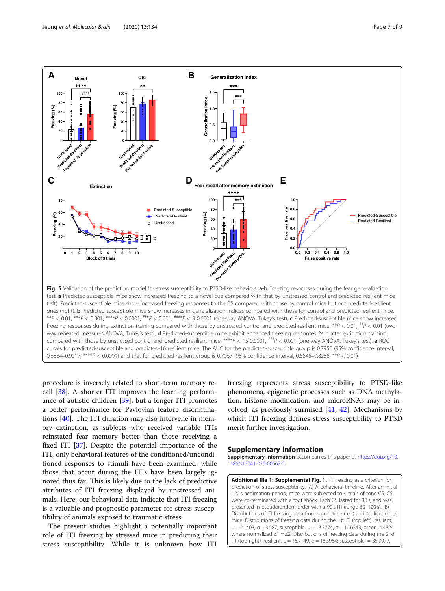<span id="page-6-0"></span>

procedure is inversely related to short-term memory recall [[38\]](#page-8-0). A shorter ITI improves the learning performance of autistic children [[39\]](#page-8-0), but a longer ITI promotes a better performance for Pavlovian feature discriminations [\[40\]](#page-8-0). The ITI duration may also intervene in memory extinction, as subjects who received variable ITIs reinstated fear memory better than those receiving a fixed ITI [[37\]](#page-8-0). Despite the potential importance of the ITI, only behavioral features of the conditioned/unconditioned responses to stimuli have been examined, while those that occur during the ITIs have been largely ignored thus far. This is likely due to the lack of predictive attributes of ITI freezing displayed by unstressed animals. Here, our behavioral data indicate that ITI freezing is a valuable and prognostic parameter for stress susceptibility of animals exposed to traumatic stress.

The present studies highlight a potentially important role of ITI freezing by stressed mice in predicting their stress susceptibility. While it is unknown how ITI

freezing represents stress susceptibility to PTSD-like phenomena, epigenetic processes such as DNA methylation, histone modification, and microRNAs may be involved, as previously surmised  $[41, 42]$  $[41, 42]$  $[41, 42]$  $[41, 42]$  $[41, 42]$ . Mechanisms by which ITI freezing defines stress susceptibility to PTSD merit further investigation.

# Supplementary information

Supplementary information accompanies this paper at [https://doi.org/10.](https://doi.org/10.1186/s13041-020-00667-5) [1186/s13041-020-00667-5](https://doi.org/10.1186/s13041-020-00667-5).

Additional file 1: Supplemental Fig. 1. ITI freezing as a criterion for prediction of stress susceptibility. (A) A behavioral timeline. After an initial 120 s acclimation period, mice were subjected to 4 trials of tone CS. CS were co-terminated with a foot shock. Each CS lasted for 30 s, and was presented in pseudorandom order with a 90 s ITI (range 60–120 s). (B) Distributions of ITI freezing data from susceptible (red) and resilient (blue) mice. Distributions of freezing data during the 1st ITI (top left): resilient,  $μ = 2.1403$ , σ = 3.587; susceptible,  $μ = 13.3774$ , σ = 16.6243; green, 4.4324 where normalized  $Z1 = Z2$ . Distributions of freezing data during the 2nd ITI (top right): resilient, μ = 16.7149, σ = 18.3964; susceptible, = 35.7977,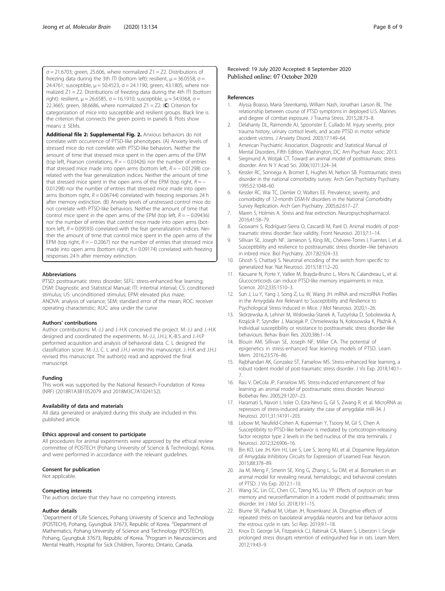<span id="page-7-0"></span> $\sigma$  = 21.6703; green, 25.606, where normalized Z1 = Z2. Distributions of freezing data during the 3th ITI (bottom left): resilient,  $\mu$  = 36.0558,  $\sigma$  = 24.4761; susceptible,  $μ = 50.4523$ ,  $σ = 24.1190$ ; green, 43.1805, where normalized Z1 = Z2. Distributions of freezing data during the 4th ITI (bottom right): resilient,  $μ = 26.6585$ ,  $σ = 16.1910$ ; susceptible,  $μ = 54.9368$ ,  $σ =$ 22.3665; green, 38.6686, where normalized  $Z1 = Z2$ . (C) Criterion for categorization of mice into susceptible and resilient groups. Black line is the criterion that connects the green points in panels B. Plots show means + SFMs

Additional file 2: Supplemental Fig. 2. Anxious behaviors do not correlate with occurrence of PTSD-like phenotypes. (A) Anxiety levels of stressed mice do not correlate with PTSD-like behaviors. Neither the amount of time that stressed mice spent in the open arms of the EPM (top left, Pearson correlations,  $R = -0.03426$ ) nor the number of entries that stressed mice made into open arms (bottom left,  $R = -0.01298$ ) correlated with the fear generalization indices. Neither the amount of time that stressed mice spent in the open arms of the EPM (top right,  $R = -$ 0.01298) nor the number of entries that stressed mice made into open arms (bottom right,  $R = 0.06744$ ) correlated with freezing responses 24 h after memory extinction. (B) Anxiety levels of unstressed control mice do not correlate with PTSD-like behaviors. Neither the amount of time that control mice spent in the open arms of the EPM (top left,  $R = -0.09436$ ) nor the number of entries that control mice made into open arms (bottom left,  $R = 0.09593$ ) correlated with the fear generalization indices. Neither the amount of time that control mice spent in the open arms of the EPM (top right,  $R = -0.2067$ ) nor the number of entries that stressed mice made into open arms (bottom right,  $R = 0.09174$ ) correlated with freezing responses 24 h after memory extinction.

# Abbreviations

PTSD: posttraumatic stress disorder; SEFL: stress-enhanced fear learning; DSM: Diagnostic and Statistical Manual; ITI: intertrial interval; CS: conditioned stimulus; US: unconditioned stimulus; EPM: elevated plus maze; ANOVA: analysis of variance; SEM: standard error of the mean; ROC: receiver operating characteristic; AUC: area under the curve

## Authors' contributions

Author contributions: M.-J.J and J.-H.K conceived the project. M.-J.J and J.-H.K designed and coordinated the experiments. M.-J.J, J.H.J, K.-B.S and J.-H.P performed acquisition and analysis of behavioral data. C. L designed the classification score. M.-J.J, C. L and J.H.J wrote this manuscript. J.-H.K and J.H.J revised this manuscript. The author(s) read and approved the final manuscript.

### Funding

This work was supported by the National Research Foundation of Korea (NRF) (2018R1A3B1052079 and 2018M3C7A1024152).

# Availability of data and materials

All data generated or analyzed during this study are included in this published article.

### Ethics approval and consent to participate

All procedures for animal experiments were approved by the ethical review committee of POSTECH (Pohang University of Science & Technology), Korea, and were performed in accordance with the relevant guidelines.

# Consent for publication

Not applicable.

### Competing interests

The authors declare that they have no competing interests.

#### Author details

<sup>1</sup>Department of Life Sciences, Pohang University of Science and Technology (POSTECH), Pohang, Gyungbuk 37673, Republic of Korea. <sup>2</sup>Department of Mathematics, Pohang University of Science and Technology (POSTECH), Pohang, Gyungbuk 37673, Republic of Korea. <sup>3</sup>Program in Neurosciences and Mental Health, Hospital for Sick Children, Toronto, Ontario, Canada.

# References

- 1. Alyssa Boasso, Maria Steenkamp, William Nash, Jonathan Larson BL. The relationship between course of PTSD symptoms in deployed U.S. Marines and degree of combat exposure. J Trauma Stress. 2015;28:73–8.
- 2. Delahanty DL, Raimonde AJ, Spoonster E, Cullado M. Injury severity, prior trauma history, urinary cortisol levels, and acute PTSD in motor vehicle accident victims. J Anxiety Disord. 2003;17:149–64.
- 3. American Psychiatric Association. Diagnostic and Statistical Manual of Mental Disorders, Fifth Edition. Washington, DC: Am Psychiatr Assoc; 2013.
- 4. Siegmund A, Wotjak CT. Toward an animal model of posttraumatic stress disorder. Ann N Y Acad Sci. 2006;1071:324–34.
- 5. Kessler RC, Sonnega A, Bromet E, Hughes M, Nelson SB. Posttraumatic stress disorder in the national comorbidity survey. Arch Gen Psychiatry Psychiatry. 1995;52:1048–60.
- Kessler RC, Wai TC, Demler O, Walters EE. Prevalence, severity, and comorbidity of 12-month DSM-IV disorders in the National Comorbidity Survey Replication. Arch Gen Psychiatry. 2005;62:617–27.
- 7. Maren S, Holmes A. Stress and fear extinction. Neuropsychopharmacol. 2016;41:58–79.
- 8. Goswami S, Rodríguez-Sierra O, Cascardi M, Paré D. Animal models of posttraumatic stress disorder: face validity. Front Neurosci. 2013;7:1–14.
- Sillivan SE, Joseph NF, Jamieson S, King ML, Chévere-Torres I, Fuentes I, et al. Susceptibility and resilience to posttraumatic stress disorder–like behaviors in inbred mice. Biol Psychiatry. 2017;82:924–33.
- 10. Ghosh S, Chattarji S. Neuronal encoding of the switch from specific to generalized fear. Nat Neurosci. 2015;18:112–20.
- 11. Kaouane N, Porte Y, Vallee M, Brayda-Bruno L, Mons N, Calandreau L, et al. Glucocorticoids can induce PTSD-like memory impairments in mice. Science. 2012;335:1510–3.
- 12. Sun J, Lu Y, Yang J, Song Z, Lu W, Wang JH. mRNA and microRNA Profiles in the Amygdala Are Relevant to Susceptibility and Resilience to Psychological Stress Induced in Mice. J Mol Neurosci. 2020;1–26.
- 13. Skórzewska A, Lehner M, Wisłowska-Stanek A, Turzyńska D, Sobolewska A, Krząścik P, Szyndler J, Maciejak P, Chmielewska N, Kołosowska K, Płaźnik A. Individual susceptibility or resistance to posttraumatic stress disorder-like behaviours. Behav Brain Res. 2020;386:1–14.
- 14. Blouin AM, Sillivan SE, Joseph NF, Miller CA. The potential of epigenetics in stress-enhanced fear learning models of PTSD. Learn Mem. 2016;23:576–86.
- 15. Rajbhandari AK, Gonzalez ST, Fanselow MS. Stress-enhanced fear learning, a robust rodent model of post-traumatic stress disorder. J Vis Exp. 2018;140:1– 7.
- 16. Rau V, DeCola JP, Fanselow MS. Stress-induced enhancement of fear learning: an animal model of posttraumatic stress disorder. Neurosci Biobehav Rev. 2005;29:1207–23.
- 17. Haramati S, Navon I, Issler O, Ezra-Nevo G, Gil S, Zwang R, et al. MicroRNA as repressors of stress-induced anxiety: the case of amygdalar miR-34. J Neurosci. 2011;31:14191–203.
- 18. Lebow M, Neufeld-Cohen A, Kuperman Y, Tsoory M, Gil S, Chen A. Susceptibility to PTSD-like behavior is mediated by corticotropin-releasing factor receptor type 2 levels in the bed nucleus of the stria terminalis. J Neurosci. 2012;32:6906–16.
- 19. Bin KO, Lee JH, Kim HJ, Lee S, Lee S, Jeong MJ, et al. Dopamine Regulation of Amygdala Inhibitory Circuits for Expression of Learned Fear. Neuron. 2015;88:378–89.
- 20. Jia M, Meng F, Smerin SE, Xing G, Zhang L, Su DM, et al. Biomarkers in an animal model for revealing neural, hematologic, and behavioral correlates of PTSD. J Vis Exp. 2012:1–10.
- 21. Wang SC, Lin CC, Chen CC, Tzeng NS, Liu YP. Effects of oxytocin on fear memory and neuroinflammation in a rodent model of posttraumatic stress disorder. Int J Mol Sci. 2018;19:1–15.
- 22. Blume SR, Padival M, Urban JH, Rosenkranz JA. Disruptive effects of repeated stress on basolateral amygdala neurons and fear behavior across the estrous cycle in rats. Sci Rep. 2019;9:1–18.
- 23. Knox D, George SA, Fitzpatrick CJ, Rabinak CA, Maren S, Liberzon I. Single prolonged stress disrupts retention of extinguished fear in rats. Learn Mem. 2012;19:43–9.